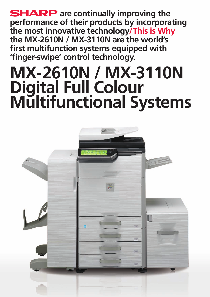**SHARP** are continually improving the **performance of their products by incorporating the most innovative technology/This is Why the MX-2610N / MX-3110N are the world's first multifunction systems equipped with 'finger-swipe' control technology.** 

# **MX-2610N / MX-3110N Digital Full Colour Multifunctional Systems**

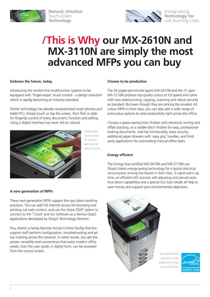

**Natural, Intuitive** Touch-screen **Technology**



# **/This is Why our MX-2610N and MX-3110N are simply the most advanced MFPs you can buy**

# **Embrace the future, today**

Introducing the world's first multifunction systems to be equipped with 'finger-swipe' touch control – a design evolution which is rapidly becoming an industry standard.

Similar technology has already revolutionised smart phones and tablet PCs. Simply touch or tap the screen, then flick or slide for fingertip control of every document, function and setting. Using a digital interface has never felt so natural.



Finger-swipe touch control for intuitive operation of every function

# **A new generation of MFPs**

These next-generation MFPs support the very latest working practices. You can add full internet access for browsing and printing out web content, and use the Sharp OSA® option to connect to the 'Cloud' and run Software as a Service (SaaS) applications developed by Sharp's Technology Partners.

Plus, there's a handy Remote Access Control facility that lets support staff perform configuration, troubleshooting and ad hoc training across the network. In other words, you get the power, versatility and convenience that every modern office needs. Even the user guide, in digital form, can be accessed from the control screen.

### **Choose to be productive**

The 26 pages-per-minute (ppm) MX-2610N and the 31 ppm MX-3110N produce top quality colour at full speed and come with two-sided printing, copying, scanning and robust security as standard. But even though they are among the smallest A3 colour MFPs in their class, you can also add a wide range of extra-value options to raise productivity right across the office.

Choose a space-saving inner finisher with electronic sorting and offset stacking, or a saddle-stitch finisher for easy, professionallooking documents. Add fax functionality, extra security, additional paper drawers with 'easy grip' handles, and third party applications for automating manual office tasks.

# **Energy efficient**

The Energy Star-certified MX-2610N and MX-3110N use Sharp's latest energy-saving technology for a typical electrical consumption among the lowest in their class. A rapid warm up time, an efficient LED scanner, self-adjusting and pre-set auto shut down capabilities and a special Eco Scan Mode all help to save money and support your environmental objectives.



Both MX-2610N and MX-3110N qualify for Energy Star certification

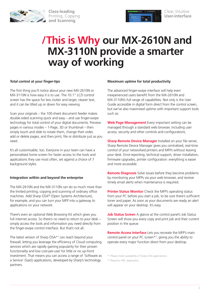

**Class-leading** Printing, Copying **and Scanning**



# **/This is Why our MX-2610N and MX-3110N provide a smarter way of working**

# **Total control at your finger-tips**

The first thing you'll notice about your new MX-2610N or MX-3110N is how easy it is to use. The 10.1" LCD control screen has the space for less clutter and larger, clearer text, and it can be tilted up or down for easy viewing.

Scan your originals – the 100-sheet document feeder makes double-sided scanning quick and easy – and use finger-swipe technology for total control of your digital documents. Preview pages in various modes – 1-Page, 3D or thumbnail – then simply touch and slide to rotate them, change their order, add or delete pages, and then print, file or distribute just as you need.

It's all customisable, too. Everyone in your team can have a personalised home screen for faster access to the tools and applications they use most often, set against a choice of 7 background styles.

# **Integration within and beyond the enterprise**

The MX-2610N and the MX-3110N can do so much more than the limited printing, copying and scanning of ordinary office machines. Add Sharp OSA® (Open Systems Architecture), for example, and you can turn your MFP into a gateway to applications on your network.

There's even an optional Web Browsing Kit which gives you full internet access. So there's no need to return to your desk – simply access the tools and information you need directly from the finger-swipe control interface. But that's not all.

The latest version of Sharp OSA\*<sup>1</sup> can reach beyond your firewall, letting you leverage the efficiency of Cloud computing services which are rapidly gaining popularity for their proven functionality and low cost-per-user for little or no up-front investment. That means you can access a range of 'Software as a Service' (SaaS) applications, developed by Sharp's technology partners.

### **Maximum uptime for total productivity**

The advanced finger-swipe interface will help even inexperienced users benefit from the MX-2610N and MX-3110N's full range of capabilities. Not only is the User Guide accessible in digital form direct from the control screen, but we've also maximised uptime with important support tools such as:

**Web Page Management** Every important setting can be managed through a standard web browser, including user access, security and other controls and configurations.

**Sharp Remote Device Manager** Installed on your file server, Sharp Remote Device Manager gives you centralised, real-time control of your networked printers and MFPs without leaving your desk. Error-reporting, technical support, driver installation, firmware upgrades, printer configuration: everything is easier and more accessible.

**Remote Diagnosis** Solve issues before they become problems by monitoring your MFPs via your web browser, and receive timely email alerts when maintenance is required.

**Printer Status Monitor** Check the MFP's operating status from your PC before you start a job, to be sure there's sufficient toner and paper. As soon as your documents are ready an alert will appear on your desktop. It's easy.

**Job Status Screen** A glance at the control panel's Job Status Screen will show you every copy and print job and their current position in the queue.

**Remote Access Interface** Lets you recreate the MFP's main control panel on your PC screen\*2 , giving you the ability to operate every major function direct from your desktop.

<sup>\*1</sup> Please check availability of Sharp OSA applications.

<sup>\*2</sup> Requires VNC application.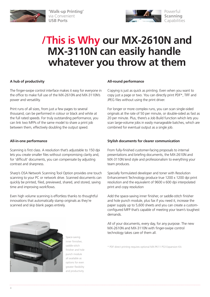

**'Walk-up Printing'**  via Convenient **USB Ports**



# **/This is Why our MX-2610N and MX-3110N can easily handle whatever you throw at them**

# **A hub of productivity**

The finger-swipe control interface makes it easy for everyone in the office to make full use of the MX-2610N and MX-3110N's power and versatility.

Print runs of all sizes, from just a few pages to several thousand, can be performed in colour or black and white at the full rated speeds. For truly outstanding performance, you can link two MFPs of the same model to share a print job between them, effectively doubling the output speed.

# **All-in-one performance**

Scanning is first class. A resolution that's adjustable to 150 dpi lets you create smaller files without compromising clarity and, for 'difficult' documents, you can compensate by adjusting contrast and sharpness.

Sharp's OSA Network Scanning Tool Option provides one touch scanning to your PC or network drive. Scanned documents can quickly be printed, filed, previewed, shared, and stored, saving time and improving workflows.

Even high volume scanning is effortless thanks to thoughtful innovations that automatically stamp originals as they're scanned and skip blank pages entirely.



Space-saving inner finnisher, saddle-stitch finisher and hole punch module all available as options for even greater flexibility and productivity

### **All-round performance**

Copying is just as quick as printing. Even when you want to copy just a page or two. You can directly print PDF\*, TIFF and JPEG files without using the print driver.

For longer or more complex runs, you can scan single-sided originals at the rate of 50 per minute, or double-sided as fast as 20 per minute. Plus, there's a Job Build function which lets you scan large-volume jobs in easily manageable batches, which are combined for eventual output as a single job.

# **Stylish documents for clearer communication**

From fully-finished customer-facing proposals to internal presentations and briefing documents, the MX-2610N and MX-3110N lend style and professionalism to everything your team produces.

Specially formulated developer and toner with Resolution Enhancement Technology produce true 1200 x 1200 dpi print resolution and the equivalent of 9600 x 600 dpi interpolated print and copy resolution

Add the space-saving inner finisher, or saddle-stitch finisher and hole punch module, plus fax if you need it, increase the paper supply up to 5,600 sheets and you can create a customconfigured MFP that's capable of meeting your team's toughest demands.

All of your documents, every day, for any purpose. The new MX-2610N and MX-3110N with finger-swipe control technology takes care of them all.

\* PDF direct printing requires optional MX-PK11 PS3 Expansion Kit.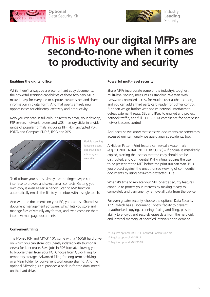

**Optional** Data Security Kit



# **/This is Why our digital MFPs are second-to-none when it comes to productivity and security**

# **Enabling the digital office**

While there'll always be a place for hard copy documents, the powerful scanning capabilities of these two new MFPs make it easy for everyone to capture, create, store and share information in digital form. And that opens entirely new opportunities for efficiency, creativity and productivity.

Now you can scan in full colour directly to email, your desktop, FTP servers, network folders and USB memory sticks in a wide range of popular formats including TIFF, PDF, Encrypted PDF, PDF/A and Compact PDF\*1 , JPEG and XPS.



Flexible scanning functions opens opportunities in efficiency and creativity

To distribute your scans, simply use the finger-swipe control interface to browse and select email contacts. Getting your own copy is even easier: a handy 'Scan to Me' function automatically emails the file to your inbox with a single touch.

And with the documents on your PC, you can use Sharpdesk document management software, which lets you store and manage files of virtually any format, and even combine them into new multipage documents.

# **Convenient filing**

The MX-2610N and MX-3110N come with a 160GB hard drive on which you can store jobs (neatly indexed with thumbnail views) for later reuse. Save jobs in PDF format, allowing you to browse them from your PC. Choose from Quick Filing for temporary storage, Advanced Filing for long-term archiving, or a Main Folder for convenient workgroup sharing. And the optional Mirroring Kit\*2 provides a backup for the data stored on the hard drive.

### **Powerful multi-level security**

Sharp MFPs incorporate some of the industry's toughest, multi-level security measures as standard. We start with password-controlled access for routine user authentication, and you can add a third party card reader for tighter control. But then we go further with secure network interfaces to defeat external threats, SSL and IPsec to encrypt and protect network traffic, and full IEEE 802.1X compliance for port-based network access control.

And because we know that sensitive documents are sometimes accessed unintentionally we guard against accidents, too.

A Hidden Pattern Print feature can reveal a watermark (e.g.'CONFIDENTIAL: NOT FOR COPY') – if original is mistakenly copied, alerting the user so that the copy should not be distributed, and Confidential PIN Printing requires the user to be present at the MFP before the print run can start. Plus, you protect against the unauthorised viewing of confidential documents by using password-protected PDFs.

When it's time to replace your MFP Sharp's security features continue to protect your interests by making it easy to completely and permanently remove all data from the device.

For even greater security, choose the optional Data Security Kit\*3 , which has a Document Control facility to prevent unauthorised copying, scanning, faxing and filing, plus the ability to encrypt and securely erase data from the hard disk and internal memory, at specified intervals or on demand.

\*1 Requires optional MX-EB11 Enhanced Compression Kit.

\*2 Requires optional MX-EB12.

\*3 Requires optional MX-FR30U.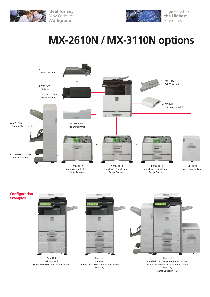



Engineered to **the Highest Standards** 

# **MX-2610N / MX-3110N options**







Exit Tray Large Capacity Tray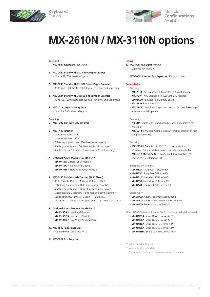



Multiple **Configurations** Available

# **MX-2610N / MX-3110N options**

### **Base unit**

**Keyboard**  Option

**MX-KB11 Keyboard** (not shown)

- **1. MX-DE12 Stand with 500-Sheet Paper Drawer**  $-$  A3 to A5R, 500 sheets (80 asm)
- **2. MX-DE13 Stand with 2 x 500-Sheet Paper Drawers** - A3 to A5R, 500 sheets each (80 gsm) for lower and upper trays
- **3. MX-DE14 Stand with 3 x 500-Sheet Paper Drawers** - A3 to A5R, 500 sheets each (80 gsm) for lower and upper trays
- **4. MX-LC11 Large Capacity Tray**
	- A4 to B5, 3500 sheets (80gsm)

### **Finishing**

**5. MX-TU12 Exit Tray Cabinet Unit**

### **6. MX-FN17 Finisher**

- A3 to B5 (offset/staple),
- A3W to A5R (non offset)
- Offset tray (upper): max. 500 sheet paper capacity\*<sup>1</sup>
- Stapling capacity: max. 50 sheet multi-position staple\*<sup>1</sup>
- Staple position: 3 locations (front, rear or 2 point stitching)

#### **7. Optional Punch Module for MX-FN17**

- **MX-PN11A** 2 Hole Punch Module
- **MX-PN11C** 4 Hole Punch Module
- **MX-PN11D** 4 Hole Wide Punch Module

#### **8. MX-FN10 Saddle Stitch Finisher (1000 Sheet)**

- A3 to B5 (offset/staple), A3W to A5R (non offset)
- Offset tray (upper): max.1000 sheet paper capacity\*1
- Stapling capacity: max. 50 sheet multi-position staple\*<sup>1</sup>
- Staple position: 3 locations (front, rear or 2 point stitching)\*<sup>1</sup>
- Saddle stitch tray (lower): 10 sets (11-15 sheets),

15 sets (6-10 sheets), 20 sets (1-5 sheets). 15 sheets max. per set

### **9. Optional Punch Module for MX-FN10**

- **MX-PNX5A** 2 Hole Punch Module
- **MX-PNX5C** 4 Hole Punch Module
- **MX-PNX5D** 4 Hole Wide Punch Module
- **10. MX-RB10 Paper Pass Unit** 
	- Required when using MX-FN10
- **11. MX-TR12 Exit Tray Unit**

### **Faxing**

**12. MX-FX11 Fax Expansion Kit**

- Super G3 fax module

**MX-FWX1 Internet Fax Expansion Kit** (not shown)

### **Connectivity**

**Printing**

- **MX-PK11** PS3 Expansion Kit (enables PostScript printing)
- **MX-PUX1** XPS Expansion Kit (L80MXSM10 required)
- **L80MXSM10** Expansion Memory Board
- **MX-PF10** Barcode Font Kit
- MX-AM10 Web Browsing Expansion Kit<sup>\*2</sup> (enables browsing of Internet from MFP panel)

#### **Scanning**

- **AR-SU1** Stamp Unit (marks already scanned documents for checking)
- **MX-EB11** Enhanced Compression Kit (enables creation of high compression PDFs)

#### **Security**

- MX-FR30U Data Security Kit<sup>\*2</sup> Commercial Version (Common Criteria validated version will also be available)
- **MX-EB12 Mirroring Kit** Second hard drive enabling data backup of fi les stored on HDD

### **Sharpdesk™ licenses**

- MX-USX1 Sharpdesk 1-License Kit
- **MX-USX5** Sharpdesk 5-License Kit
- **MX-US10** Sharpdesk 10-License Kit
- **MX-US50** Sharpdesk 50-License Kit
- **MX-USA0** Sharpdesk 100-License Kit

### **Sharp OSA®**

- **MX-AMX1** Application Integration Module
- **MX-AMX2** Application Communication Module
- **MX-AMX3** External Account Module

**Sharp OSA® Network Scanner Tool Licenses** (MX-AMX2 required)

- **MX-UN01A** Sharp OSA 1-License Kit\*2
- **MX-UN05A** Sharp OSA 5-License Kit\*2
- **MX-UN10A** Sharp OSA 10-License Kit\*2
- **MX-UN50A** Sharp OSA 50-License Kit\*2
- **MX-UN1HA** Sharp OSA 100-License Kit\*2
- \*1 A4 or smaller, 80gsm.
- \*2 Available at a later date. Some options may not be available in some areas.